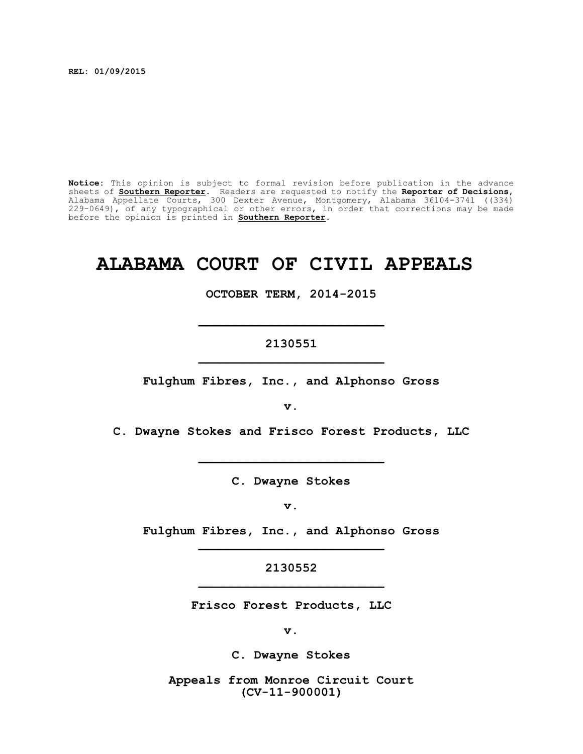**REL: 01/09/2015**

**Notice:** This opinion is subject to formal revision before publication in the advance sheets of **Southern Reporter**. Readers are requested to notify the **Reporter of Decisions**, Alabama Appellate Courts, 300 Dexter Avenue, Montgomery, Alabama 36104-3741 ((334) 229-0649), of any typographical or other errors, in order that corrections may be made before the opinion is printed in **Southern Reporter**.

# **ALABAMA COURT OF CIVIL APPEALS**

**OCTOBER TERM, 2014-2015**

#### **2130551 \_\_\_\_\_\_\_\_\_\_\_\_\_\_\_\_\_\_\_\_\_\_\_\_\_**

**\_\_\_\_\_\_\_\_\_\_\_\_\_\_\_\_\_\_\_\_\_\_\_\_\_**

**Fulghum Fibres, Inc., and Alphonso Gross**

**v.**

**C. Dwayne Stokes and Frisco Forest Products, LLC**

**\_\_\_\_\_\_\_\_\_\_\_\_\_\_\_\_\_\_\_\_\_\_\_\_\_**

**C. Dwayne Stokes**

**v.**

**Fulghum Fibres, Inc., and Alphonso Gross \_\_\_\_\_\_\_\_\_\_\_\_\_\_\_\_\_\_\_\_\_\_\_\_\_**

> **2130552 \_\_\_\_\_\_\_\_\_\_\_\_\_\_\_\_\_\_\_\_\_\_\_\_\_**

**Frisco Forest Products, LLC**

**v.**

**C. Dwayne Stokes**

**Appeals from Monroe Circuit Court (CV-11-900001)**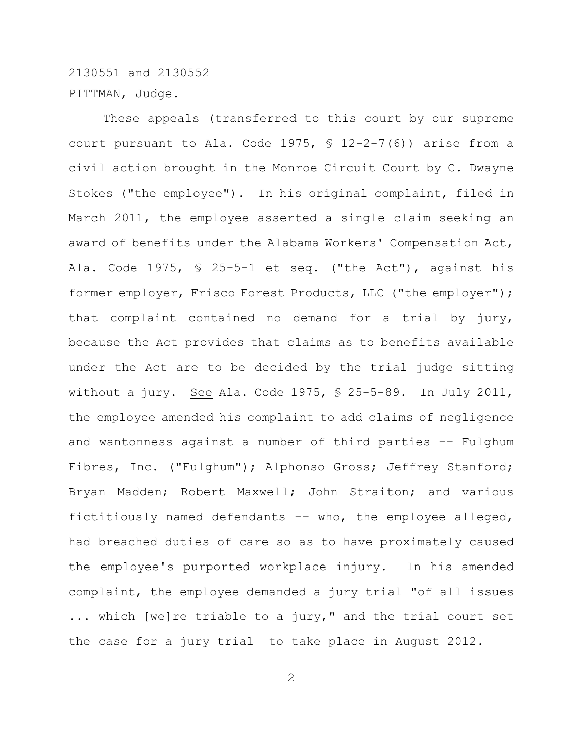## 2130551 and 2130552 PITTMAN, Judge.

These appeals (transferred to this court by our supreme court pursuant to Ala. Code 1975,  $\frac{12-2-7(6)}{2}$  arise from a civil action brought in the Monroe Circuit Court by C. Dwayne Stokes ("the employee"). In his original complaint, filed in March 2011, the employee asserted a single claim seeking an award of benefits under the Alabama Workers' Compensation Act, Ala. Code 1975, § 25-5-1 et seq. ("the Act"), against his former employer, Frisco Forest Products, LLC ("the employer"); that complaint contained no demand for a trial by jury, because the Act provides that claims as to benefits available under the Act are to be decided by the trial judge sitting without a jury. See Ala. Code 1975, § 25-5-89. In July 2011, the employee amended his complaint to add claims of negligence and wantonness against a number of third parties –– Fulghum Fibres, Inc. ("Fulghum"); Alphonso Gross; Jeffrey Stanford; Bryan Madden; Robert Maxwell; John Straiton; and various fictitiously named defendants –– who, the employee alleged, had breached duties of care so as to have proximately caused the employee's purported workplace injury. In his amended complaint, the employee demanded a jury trial "of all issues ... which [we]re triable to a jury," and the trial court set the case for a jury trial to take place in August 2012.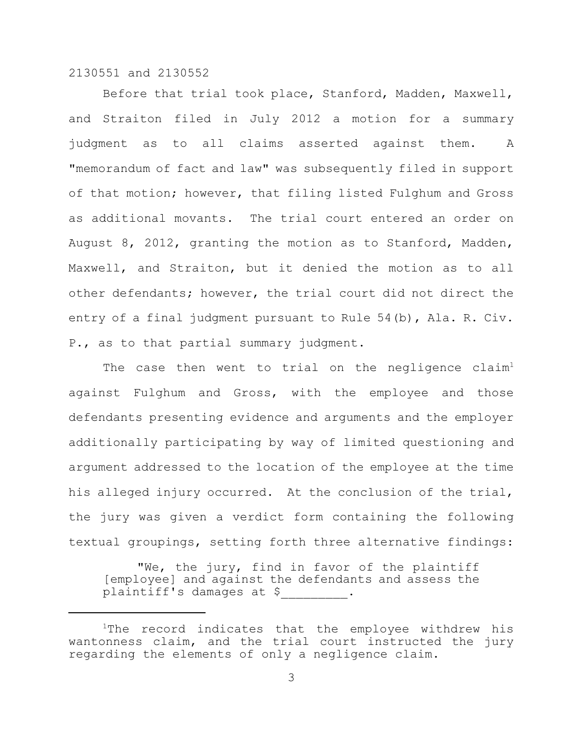Before that trial took place, Stanford, Madden, Maxwell, and Straiton filed in July 2012 a motion for a summary judgment as to all claims asserted against them. A "memorandum of fact and law" was subsequently filed in support of that motion; however, that filing listed Fulghum and Gross as additional movants. The trial court entered an order on August 8, 2012, granting the motion as to Stanford, Madden, Maxwell, and Straiton, but it denied the motion as to all other defendants; however, the trial court did not direct the entry of a final judgment pursuant to Rule 54(b), Ala. R. Civ. P., as to that partial summary judgment.

The case then went to trial on the negligence claim<sup>1</sup> against Fulghum and Gross, with the employee and those defendants presenting evidence and arguments and the employer additionally participating by way of limited questioning and argument addressed to the location of the employee at the time his alleged injury occurred. At the conclusion of the trial, the jury was given a verdict form containing the following textual groupings, setting forth three alternative findings:

"We, the jury, find in favor of the plaintiff [employee] and against the defendants and assess the plaintiff's damages at \$\_\_\_\_\_\_\_\_\_.

 $1$ The record indicates that the employee withdrew his wantonness claim, and the trial court instructed the jury regarding the elements of only a negligence claim.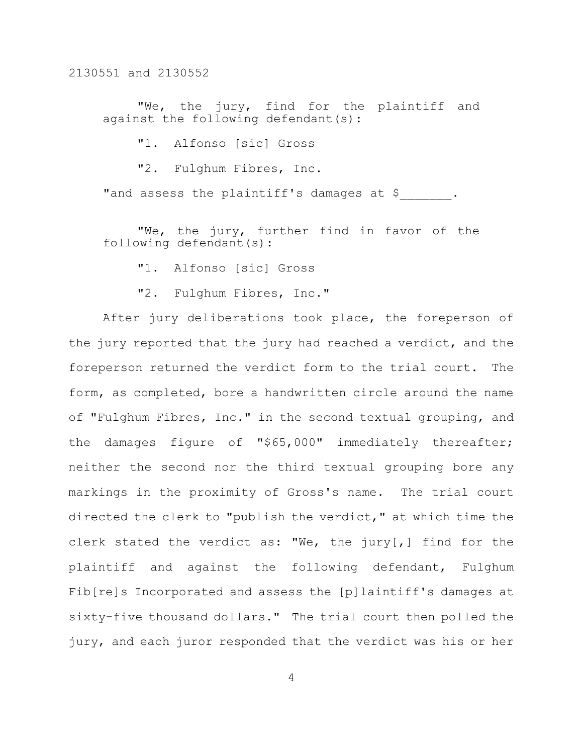"We, the jury, find for the plaintiff and against the following defendant(s):

"1. Alfonso [sic] Gross

"2. Fulghum Fibres, Inc.

"and assess the plaintiff's damages at \$.

"We, the jury, further find in favor of the following defendant(s):

"1. Alfonso [sic] Gross

"2. Fulghum Fibres, Inc."

After jury deliberations took place, the foreperson of the jury reported that the jury had reached a verdict, and the foreperson returned the verdict form to the trial court. The form, as completed, bore a handwritten circle around the name of "Fulghum Fibres, Inc." in the second textual grouping, and the damages figure of "\$65,000" immediately thereafter; neither the second nor the third textual grouping bore any markings in the proximity of Gross's name. The trial court directed the clerk to "publish the verdict," at which time the clerk stated the verdict as: "We, the jury[,] find for the plaintiff and against the following defendant, Fulghum Fib[re]s Incorporated and assess the [p]laintiff's damages at sixty-five thousand dollars." The trial court then polled the jury, and each juror responded that the verdict was his or her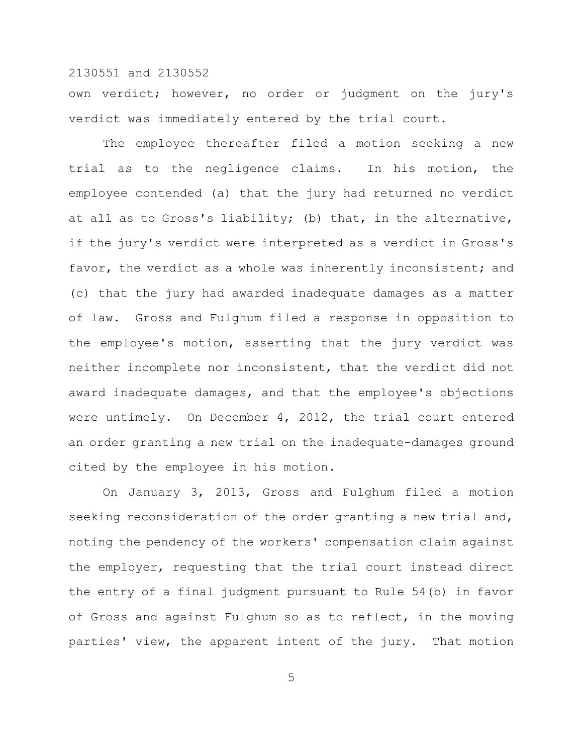own verdict; however, no order or judgment on the jury's verdict was immediately entered by the trial court.

The employee thereafter filed a motion seeking a new trial as to the negligence claims. In his motion, the employee contended (a) that the jury had returned no verdict at all as to Gross's liability; (b) that, in the alternative, if the jury's verdict were interpreted as a verdict in Gross's favor, the verdict as a whole was inherently inconsistent; and (c) that the jury had awarded inadequate damages as a matter of law. Gross and Fulghum filed a response in opposition to the employee's motion, asserting that the jury verdict was neither incomplete nor inconsistent, that the verdict did not award inadequate damages, and that the employee's objections were untimely. On December 4, 2012, the trial court entered an order granting a new trial on the inadequate-damages ground cited by the employee in his motion.

On January 3, 2013, Gross and Fulghum filed a motion seeking reconsideration of the order granting a new trial and, noting the pendency of the workers' compensation claim against the employer, requesting that the trial court instead direct the entry of a final judgment pursuant to Rule 54(b) in favor of Gross and against Fulghum so as to reflect, in the moving parties' view, the apparent intent of the jury. That motion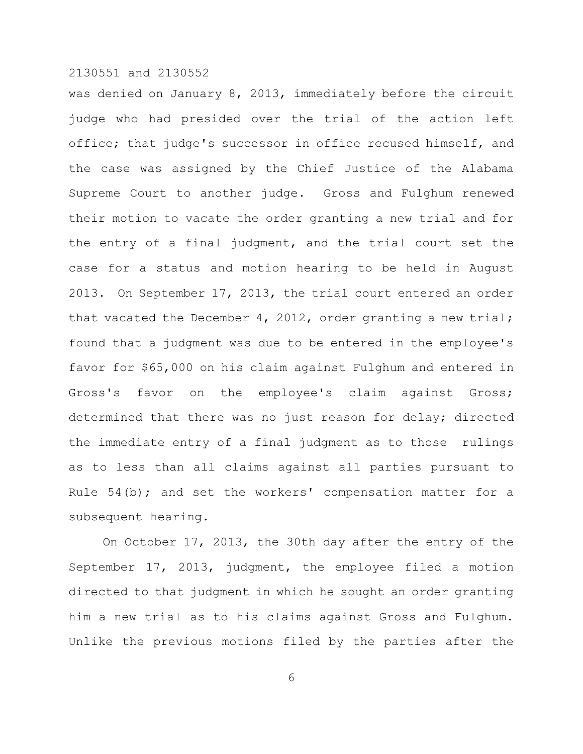was denied on January 8, 2013, immediately before the circuit judge who had presided over the trial of the action left office; that judge's successor in office recused himself, and the case was assigned by the Chief Justice of the Alabama Supreme Court to another judge. Gross and Fulghum renewed their motion to vacate the order granting a new trial and for the entry of a final judgment, and the trial court set the case for a status and motion hearing to be held in August 2013. On September 17, 2013, the trial court entered an order that vacated the December 4, 2012, order granting a new trial; found that a judgment was due to be entered in the employee's favor for \$65,000 on his claim against Fulghum and entered in Gross's favor on the employee's claim against Gross; determined that there was no just reason for delay; directed the immediate entry of a final judgment as to those rulings as to less than all claims against all parties pursuant to Rule 54(b); and set the workers' compensation matter for a subsequent hearing.

On October 17, 2013, the 30th day after the entry of the September 17, 2013, judgment, the employee filed a motion directed to that judgment in which he sought an order granting him a new trial as to his claims against Gross and Fulghum. Unlike the previous motions filed by the parties after the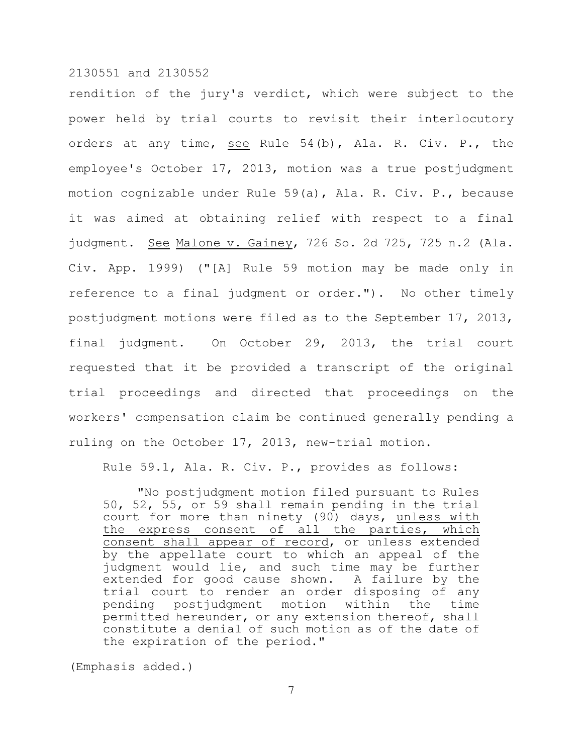rendition of the jury's verdict, which were subject to the power held by trial courts to revisit their interlocutory orders at any time, see Rule 54(b), Ala. R. Civ. P., the employee's October 17, 2013, motion was a true postjudgment motion cognizable under Rule 59(a), Ala. R. Civ. P., because it was aimed at obtaining relief with respect to a final judgment. See Malone v. Gainey, 726 So. 2d 725, 725 n.2 (Ala. Civ. App. 1999) ("[A] Rule 59 motion may be made only in reference to a final judgment or order."). No other timely postjudgment motions were filed as to the September 17, 2013, final judgment. On October 29, 2013, the trial court requested that it be provided a transcript of the original trial proceedings and directed that proceedings on the workers' compensation claim be continued generally pending a ruling on the October 17, 2013, new-trial motion.

Rule 59.1, Ala. R. Civ. P., provides as follows:

"No postjudgment motion filed pursuant to Rules 50, 52, 55, or 59 shall remain pending in the trial court for more than ninety (90) days, unless with the express consent of all the parties, which consent shall appear of record, or unless extended by the appellate court to which an appeal of the judgment would lie, and such time may be further extended for good cause shown. A failure by the trial court to render an order disposing of any pending postjudgment motion within the time permitted hereunder, or any extension thereof, shall constitute a denial of such motion as of the date of the expiration of the period."

(Emphasis added.)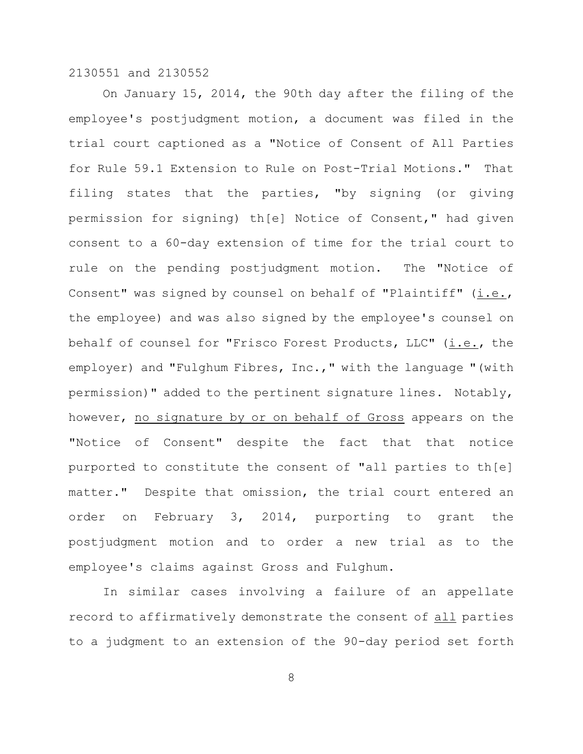On January 15, 2014, the 90th day after the filing of the employee's postjudgment motion, a document was filed in the trial court captioned as a "Notice of Consent of All Parties for Rule 59.1 Extension to Rule on Post-Trial Motions." That filing states that the parties, "by signing (or giving permission for signing) th[e] Notice of Consent," had given consent to a 60-day extension of time for the trial court to rule on the pending postjudgment motion. The "Notice of Consent" was signed by counsel on behalf of "Plaintiff"  $(i.e.,$ the employee) and was also signed by the employee's counsel on behalf of counsel for "Frisco Forest Products, LLC" (i.e., the employer) and "Fulghum Fibres, Inc.," with the language "(with permission)" added to the pertinent signature lines. Notably, however, no signature by or on behalf of Gross appears on the "Notice of Consent" despite the fact that that notice purported to constitute the consent of "all parties to th[e] matter." Despite that omission, the trial court entered an order on February 3, 2014, purporting to grant the postjudgment motion and to order a new trial as to the employee's claims against Gross and Fulghum.

In similar cases involving a failure of an appellate record to affirmatively demonstrate the consent of all parties to a judgment to an extension of the 90-day period set forth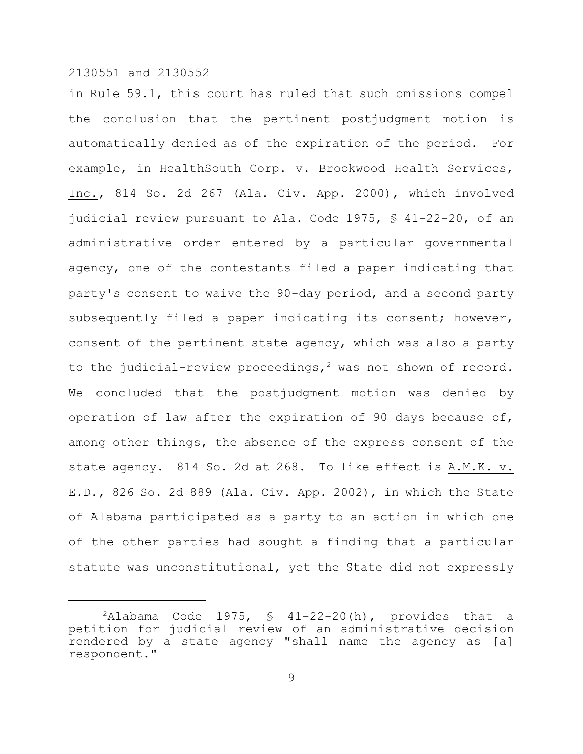in Rule 59.1, this court has ruled that such omissions compel the conclusion that the pertinent postjudgment motion is automatically denied as of the expiration of the period. For example, in HealthSouth Corp. v. Brookwood Health Services, Inc., 814 So. 2d 267 (Ala. Civ. App. 2000), which involved judicial review pursuant to Ala. Code 1975, § 41-22-20, of an administrative order entered by a particular governmental agency, one of the contestants filed a paper indicating that party's consent to waive the 90-day period, and a second party subsequently filed a paper indicating its consent; however, consent of the pertinent state agency, which was also a party to the judicial-review proceedings,<sup>2</sup> was not shown of record. We concluded that the postjudgment motion was denied by operation of law after the expiration of 90 days because of, among other things, the absence of the express consent of the state agency. 814 So. 2d at 268. To like effect is A.M.K. v. E.D., 826 So. 2d 889 (Ala. Civ. App. 2002), in which the State of Alabama participated as a party to an action in which one of the other parties had sought a finding that a particular statute was unconstitutional, yet the State did not expressly

 $2$ Alabama Code 1975, § 41-22-20(h), provides that a petition for judicial review of an administrative decision rendered by a state agency "shall name the agency as [a] respondent."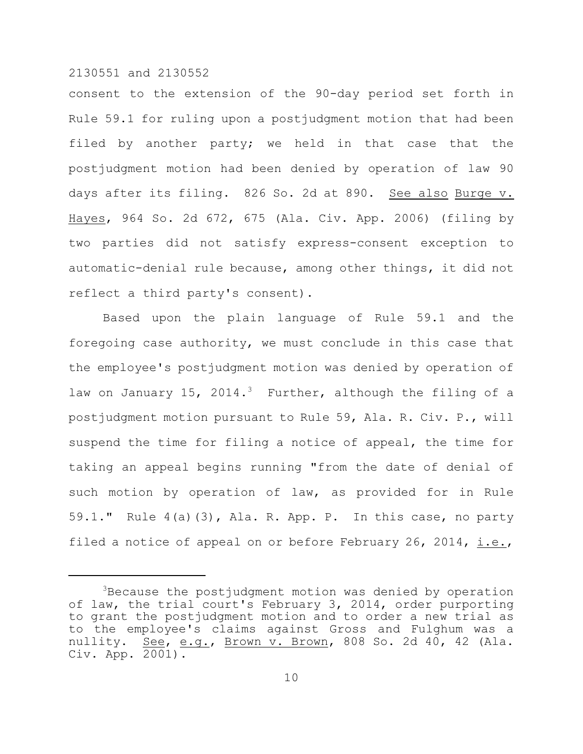consent to the extension of the 90-day period set forth in Rule 59.1 for ruling upon a postjudgment motion that had been filed by another party; we held in that case that the postjudgment motion had been denied by operation of law 90 days after its filing. 826 So. 2d at 890. See also Burge v. Hayes, 964 So. 2d 672, 675 (Ala. Civ. App. 2006) (filing by two parties did not satisfy express-consent exception to automatic-denial rule because, among other things, it did not reflect a third party's consent).

Based upon the plain language of Rule 59.1 and the foregoing case authority, we must conclude in this case that the employee's postjudgment motion was denied by operation of law on January 15, 2014.<sup>3</sup> Further, although the filing of a postjudgment motion pursuant to Rule 59, Ala. R. Civ. P., will suspend the time for filing a notice of appeal, the time for taking an appeal begins running "from the date of denial of such motion by operation of law, as provided for in Rule 59.1." Rule  $4(a)(3)$ , Ala. R. App. P. In this case, no party filed a notice of appeal on or before February 26, 2014, i.e.,

 $3B$ ecause the postjudgment motion was denied by operation of law, the trial court's February 3, 2014, order purporting to grant the postjudgment motion and to order a new trial as to the employee's claims against Gross and Fulghum was a nullity. See, e.g., Brown v. Brown, 808 So. 2d 40, 42 (Ala. Civ. App.  $\overline{2001}$ .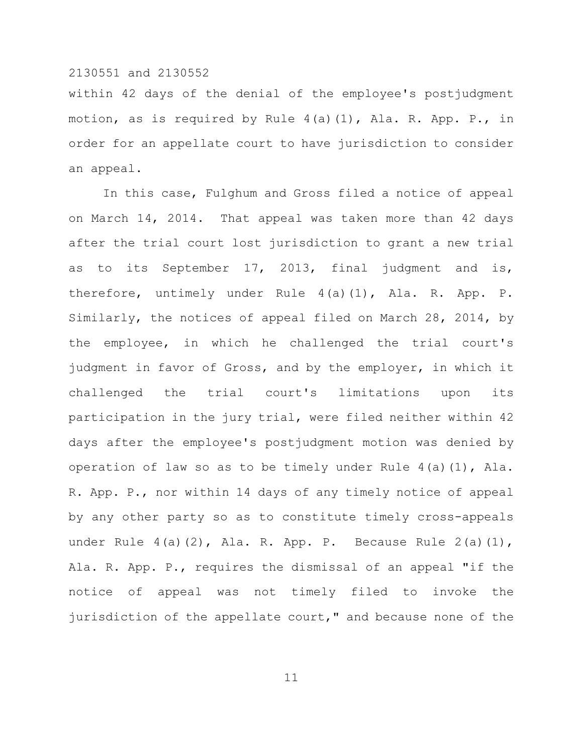within 42 days of the denial of the employee's postjudgment motion, as is required by Rule 4(a)(1), Ala. R. App. P., in order for an appellate court to have jurisdiction to consider an appeal.

In this case, Fulghum and Gross filed a notice of appeal on March 14, 2014. That appeal was taken more than 42 days after the trial court lost jurisdiction to grant a new trial as to its September 17, 2013, final judgment and is, therefore, untimely under Rule 4(a)(1), Ala. R. App. P. Similarly, the notices of appeal filed on March 28, 2014, by the employee, in which he challenged the trial court's judgment in favor of Gross, and by the employer, in which it challenged the trial court's limitations upon its participation in the jury trial, were filed neither within 42 days after the employee's postjudgment motion was denied by operation of law so as to be timely under Rule 4(a)(1), Ala. R. App. P., nor within 14 days of any timely notice of appeal by any other party so as to constitute timely cross-appeals under Rule 4(a)(2), Ala. R. App. P. Because Rule 2(a)(1), Ala. R. App. P., requires the dismissal of an appeal "if the notice of appeal was not timely filed to invoke the jurisdiction of the appellate court," and because none of the